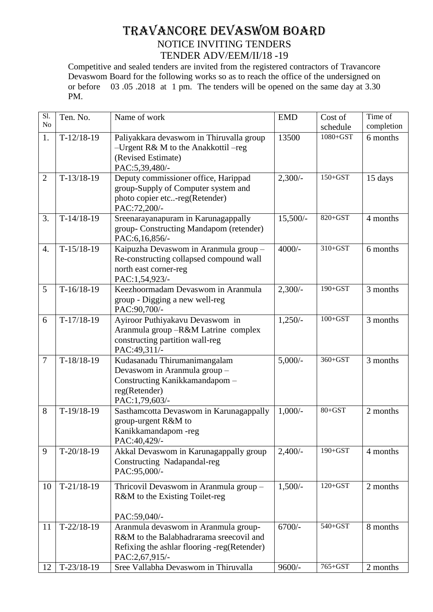## TRAVANCORE DEVASWOM BOARD NOTICE INVITING TENDERS TENDER ADV/EEM/II/18 -19

Competitive and sealed tenders are invited from the registered contractors of Travancore Devaswom Board for the following works so as to reach the office of the undersigned on or before 03 .05 .2018 at 1 pm. The tenders will be opened on the same day at 3.30 PM.

| $\overline{SI}$ . | Ten. No.     | Name of work                                                                                                                                     | <b>EMD</b> | Cost of     | Time of    |
|-------------------|--------------|--------------------------------------------------------------------------------------------------------------------------------------------------|------------|-------------|------------|
| N <sub>o</sub>    |              |                                                                                                                                                  |            | schedule    | completion |
| 1.                | $T-12/18-19$ | Paliyakkara devaswom in Thiruvalla group<br>-Urgent R& M to the Anakkottil -reg<br>(Revised Estimate)<br>PAC:5,39,480/-                          | 13500      | 1080+GST    | 6 months   |
| $\overline{2}$    | $T-13/18-19$ | Deputy commissioner office, Harippad<br>group-Supply of Computer system and<br>photo copier etc-reg(Retender)<br>PAC:72,200/-                    | $2,300/-$  | $150 + GST$ | 15 days    |
| 3.                | $T-14/18-19$ | Sreenarayanapuram in Karunagappally<br>group-Constructing Mandapom (retender)<br>PAC:6,16,856/-                                                  | $15,500/-$ | 820+GST     | 4 months   |
| $\overline{4}$ .  | $T-15/18-19$ | Kaipuzha Devaswom in Aranmula group -<br>Re-constructing collapsed compound wall<br>north east corner-reg<br>PAC:1,54,923/-                      | $4000/-$   | $310+GST$   | 6 months   |
| 5                 | $T-16/18-19$ | Keezhoormadam Devaswom in Aranmula<br>group - Digging a new well-reg<br>PAC:90,700/-                                                             | $2,300/-$  | 190+GST     | 3 months   |
| 6                 | $T-17/18-19$ | Ayiroor Puthiyakavu Devaswom in<br>Aranmula group -R&M Latrine complex<br>constructing partition wall-reg<br>PAC:49,311/-                        | $1,250/-$  | $100 + GST$ | 3 months   |
| $\overline{7}$    | $T-18/18-19$ | Kudasanadu Thirumanimangalam<br>Devaswom in Aranmula group -<br>Constructing Kanikkamandapom-<br>reg(Retender)<br>PAC:1,79,603/-                 | $5,000/-$  | $360+GST$   | 3 months   |
| 8                 | $T-19/18-19$ | Sasthamcotta Devaswom in Karunagappally<br>group-urgent R&M to<br>Kanikkamandapom-reg<br>PAC:40,429/-                                            | $1,000/-$  | $80 + GST$  | 2 months   |
| 9                 | $T-20/18-19$ | Akkal Devaswom in Karunagappally group<br>Constructing Nadapandal-reg<br>PAC:95,000/-                                                            | $2,400/$ - | $190 + GST$ | 4 months   |
| 10                | $T-21/18-19$ | Thricovil Devaswom in Aranmula group -<br>R&M to the Existing Toilet-reg<br>PAC:59,040/-                                                         | $1,500/-$  | $120 + GST$ | 2 months   |
| 11                | $T-22/18-19$ | Aranmula devaswom in Aranmula group-<br>R&M to the Balabhadrarama sreecovil and<br>Refixing the ashlar flooring -reg(Retender)<br>PAC:2,67,915/- | $6700/-$   | 540+GST     | 8 months   |
| 12                | $T-23/18-19$ | Sree Vallabha Devaswom in Thiruvalla                                                                                                             | $9600/-$   | 765+GST     | 2 months   |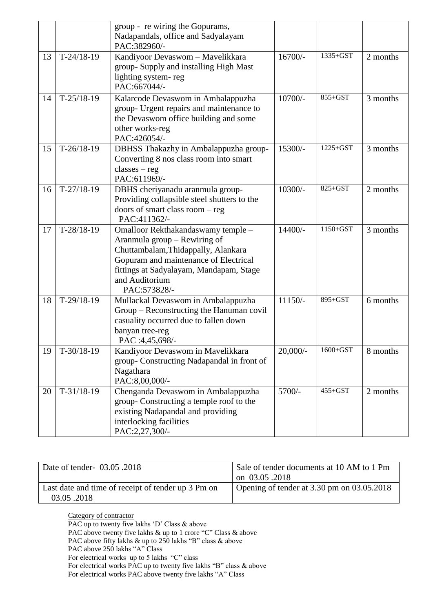|    |              | group - re wiring the Gopurams,<br>Nadapandals, office and Sadyalayam<br>PAC:382960/-                                                                                                                                           |             |              |          |
|----|--------------|---------------------------------------------------------------------------------------------------------------------------------------------------------------------------------------------------------------------------------|-------------|--------------|----------|
| 13 | $T-24/18-19$ | Kandiyoor Devaswom - Mavelikkara<br>group- Supply and installing High Mast<br>lighting system-reg<br>PAC:667044/-                                                                                                               | $16700/-$   | 1335+GST     | 2 months |
| 14 | $T-25/18-19$ | Kalarcode Devaswom in Ambalappuzha<br>group- Urgent repairs and maintenance to<br>the Devaswom office building and some<br>other works-reg<br>PAC:426054/-                                                                      | $10700/-$   | $855 + GST$  | 3 months |
| 15 | $T-26/18-19$ | DBHSS Thakazhy in Ambalappuzha group-<br>Converting 8 nos class room into smart<br>$classes - reg$<br>PAC:611969/-                                                                                                              | 15300/-     | $1225 + GST$ | 3 months |
| 16 | $T-27/18-19$ | DBHS cheriyanadu aranmula group-<br>Providing collapsible steel shutters to the<br>doors of smart class room - reg<br>PAC:411362/-                                                                                              | 10300/-     | 825+GST      | 2 months |
| 17 | $T-28/18-19$ | Omalloor Rekthakandaswamy temple -<br>Aranmula group - Rewiring of<br>Chuttambalam, Thidappally, Alankara<br>Gopuram and maintenance of Electrical<br>fittings at Sadyalayam, Mandapam, Stage<br>and Auditorium<br>PAC:573828/- | 14400/-     | $1150 + GST$ | 3 months |
| 18 | $T-29/18-19$ | Mullackal Devaswom in Ambalappuzha<br>Group - Reconstructing the Hanuman covil<br>casuality occurred due to fallen down<br>banyan tree-reg<br>PAC :4,45,698/-                                                                   | $11150/-$   | 895+GST      | 6 months |
| 19 | $T-30/18-19$ | Kandiyoor Devaswom in Mavelikkara<br>group-Constructing Nadapandal in front of<br>Nagathara<br>PAC:8,00,000/-                                                                                                                   | $20,000/$ - | $1600 + GST$ | 8 months |
| 20 | $T-31/18-19$ | Chenganda Devaswom in Ambalappuzha<br>group-Constructing a temple roof to the<br>existing Nadapandal and providing<br>interlocking facilities<br>PAC:2,27,300/-                                                                 | 5700/-      | $455 + GST$  | 2 months |

| Date of tender- 03.05 .2018                                      | Sale of tender documents at 10 AM to 1 Pm<br>on 03.05.2018 |
|------------------------------------------------------------------|------------------------------------------------------------|
| Last date and time of receipt of tender up 3 Pm on<br>03.05.2018 | Opening of tender at $3.30$ pm on $03.05.2018$             |

Category of contractor PAC up to twenty five lakhs 'D' Class & above PAC above twenty five lakhs & up to 1 crore "C" Class & above PAC above fifty lakhs & up to 250 lakhs "B" class & above PAC above 250 lakhs "A" Class For electrical works up to 5 lakhs "C" class For electrical works PAC up to twenty five lakhs "B" class & above For electrical works PAC above twenty five lakhs "A" Class